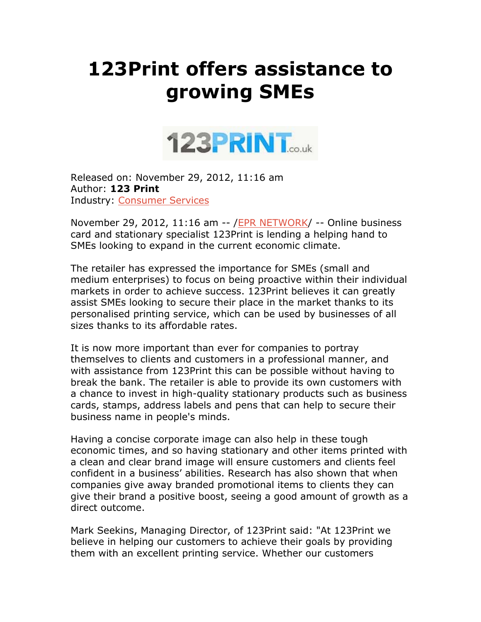## **123Print offers assistance to growing SMEs**



Released on: November 29, 2012, 11:16 am Author: **123 Print**  Industry: Consumer Services

November 29, 2012, 11:16 am -- / EPR NETWORK/ -- Online business card and stationary specialist 123Print is lending a helping hand to SMEs looking to expand in the current economic climate.

The retailer has expressed the importance for SMEs (small and medium enterprises) to focus on being proactive within their individual markets in order to achieve success. 123Print believes it can greatly assist SMEs looking to secure their place in the market thanks to its personalised printing service, which can be used by businesses of all sizes thanks to its affordable rates.

It is now more important than ever for companies to portray themselves to clients and customers in a professional manner, and with assistance from 123Print this can be possible without having to break the bank. The retailer is able to provide its own customers with a chance to invest in high-quality stationary products such as business cards, stamps, address labels and pens that can help to secure their business name in people's minds.

Having a concise corporate image can also help in these tough economic times, and so having stationary and other items printed with a clean and clear brand image will ensure customers and clients feel confident in a business' abilities. Research has also shown that when companies give away branded promotional items to clients they can give their brand a positive boost, seeing a good amount of growth as a direct outcome.

Mark Seekins, Managing Director, of 123Print said: "At 123Print we believe in helping our customers to achieve their goals by providing them with an excellent printing service. Whether our customers